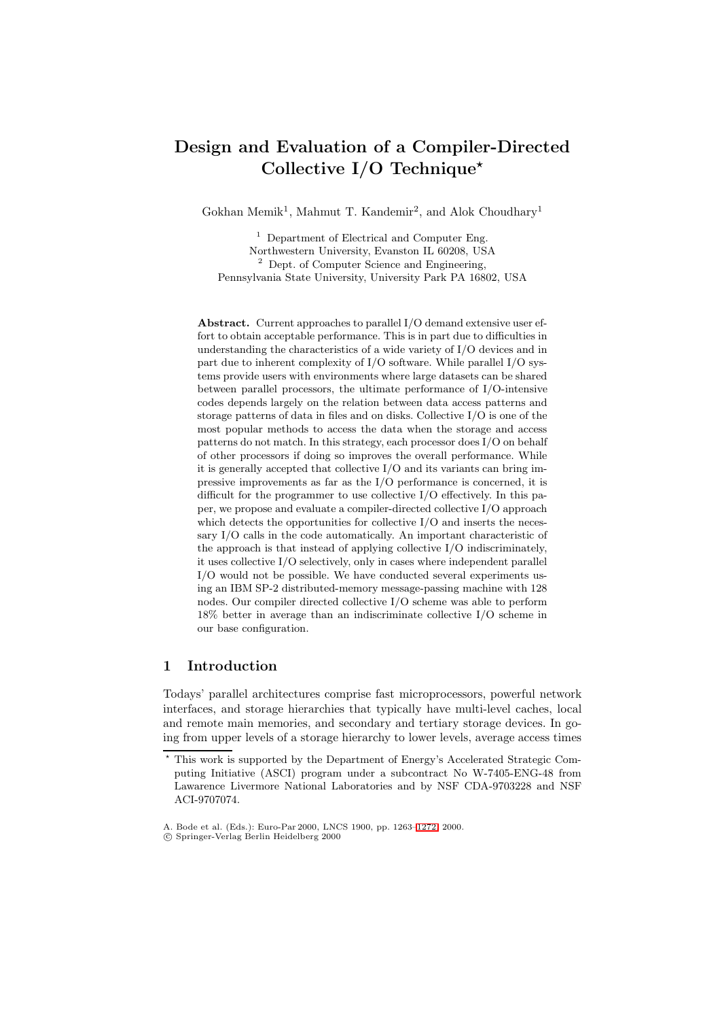# **Design and Evaluation of a Compiler-Directed Collective I/O Technique**

Gokhan Memik<sup>1</sup>, Mahmut T. Kandemir<sup>2</sup>, and Alok Choudhary<sup>1</sup>

 $<sup>1</sup>$  Department of Electrical and Computer Eng.</sup> Northwestern University, Evanston IL 60208, USA <sup>2</sup> Dept. of Computer Science and Engineering, Pennsylvania State University, University Park PA 16802, USA

**Abstract.** Current approaches to parallel I/O demand extensive user effort to obtain acceptable performance. This is in part due to difficulties in understanding the characteristics of a wide variety of I/O devices and in part due to inherent complexity of I/O software. While parallel I/O systems provide users with environments where large datasets can be shared between parallel processors, the ultimate performance of I/O-intensive codes depends largely on the relation between data access patterns and storage patterns of data in files and on disks. Collective I/O is one of the most popular methods to access the data when the storage and access patterns do not match. In this strategy, each processor does I/O on behalf of other processors if doing so improves the overall performance. While it is generally accepted that collective I/O and its variants can bring impressive improvements as far as the I/O performance is concerned, it is difficult for the programmer to use collective I/O effectively. In this paper, we propose and evaluate a compiler-directed collective I/O approach which detects the opportunities for collective I/O and inserts the necessary I/O calls in the code automatically. An important characteristic of the approach is that instead of applying collective I/O indiscriminately, it uses collective I/O selectively, only in cases where independent parallel I/O would not be possible. We have conducted several experiments using an IBM SP-2distributed-memory message-passing machine with 128 nodes. Our compiler directed collective I/O scheme was able to perform 18% better in average than an indiscriminate collective I/O scheme in our base configuration.

# **1 Introduction**

Todays' parallel architectures comprise fast microprocessors, powerful network interfaces, and storage hierarchies that typically have multi-level caches, local and remote main memories, and secondary and tertiary storage devices. In going from upper levels of a storage hierarchy to lower levels, average access times

This work is supported by the Department of Energy's Accelerated Strategic Computing Initiative (ASCI) program under a subcontract No W-7405-ENG-48 from Lawarence Livermore National Laboratories and by NSF CDA-9703228 and NSF ACI-9707074.

A. Bode et al. (Eds.): Euro-Par 2000, LNCS 1900, pp. 1263[–1272,](#page-9-0) 2000.

c Springer-Verlag Berlin Heidelberg 2000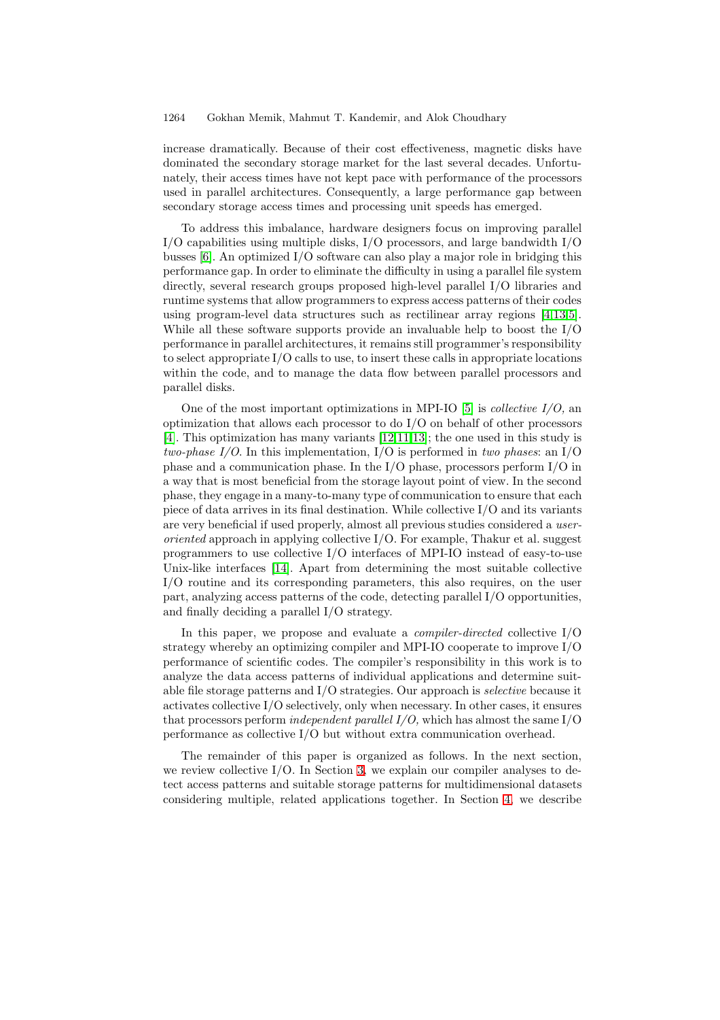increase dramatically. Because of their cost effectiveness, magnetic disks have dominated the secondary storage market for the last several decades. Unfortunately, their access times have not kept pace with performance of the processors used in parallel architectures. Consequently, a large performance gap between secondary storage access times and processing unit speeds has emerged.

To address this imbalance, hardware designers focus on improving parallel I/O capabilities using multiple disks, I/O processors, and large bandwidth I/O busses [\[6\]](#page-9-1). An optimized I/O software can also play a major role in bridging this performance gap. In order to eliminate the difficulty in using a parallel file system directly, several research groups proposed high-level parallel I/O libraries and runtime systems that allow programmers to express access patterns of their codes using program-level data structures such as rectilinear array regions [\[4](#page-9-2)[,13](#page-9-3)[,5\]](#page-9-4). While all these software supports provide an invaluable help to boost the I/O performance in parallel architectures, it remains still programmer's responsibility to select appropriate I/O calls to use, to insert these calls in appropriate locations within the code, and to manage the data flow between parallel processors and parallel disks.

One of the most important optimizations in MPI-IO [\[5\]](#page-9-4) is *collective I/O,* an optimization that allows each processor to do I/O on behalf of other processors [\[4\]](#page-9-2). This optimization has many variants [\[12](#page-9-5)[,11](#page-9-6)[,13\]](#page-9-3); the one used in this study is *two-phase I/O*. In this implementation, I/O is performed in *two phases*: an I/O phase and a communication phase. In the I/O phase, processors perform I/O in a way that is most beneficial from the storage layout point of view. In the second phase, they engage in a many-to-many type of communication to ensure that each piece of data arrives in its final destination. While collective I/O and its variants are very beneficial if used properly, almost all previous studies considered a *useroriented* approach in applying collective I/O. For example, Thakur et al. suggest programmers to use collective I/O interfaces of MPI-IO instead of easy-to-use Unix-like interfaces [\[14\]](#page-9-7). Apart from determining the most suitable collective I/O routine and its corresponding parameters, this also requires, on the user part, analyzing access patterns of the code, detecting parallel I/O opportunities, and finally deciding a parallel I/O strategy.

In this paper, we propose and evaluate a *compiler-directed* collective I/O strategy whereby an optimizing compiler and MPI-IO cooperate to improve I/O performance of scientific codes. The compiler's responsibility in this work is to analyze the data access patterns of individual applications and determine suitable file storage patterns and I/O strategies. Our approach is *selective* because it activates collective I/O selectively, only when necessary. In other cases, it ensures that processors perform *independent parallel I/O,* which has almost the same I/O performance as collective I/O but without extra communication overhead.

The remainder of this paper is organized as follows. In the next section, we review collective I/O. In Section [3,](#page-3-0) we explain our compiler analyses to detect access patterns and suitable storage patterns for multidimensional datasets considering multiple, related applications together. In Section [4,](#page-5-0) we describe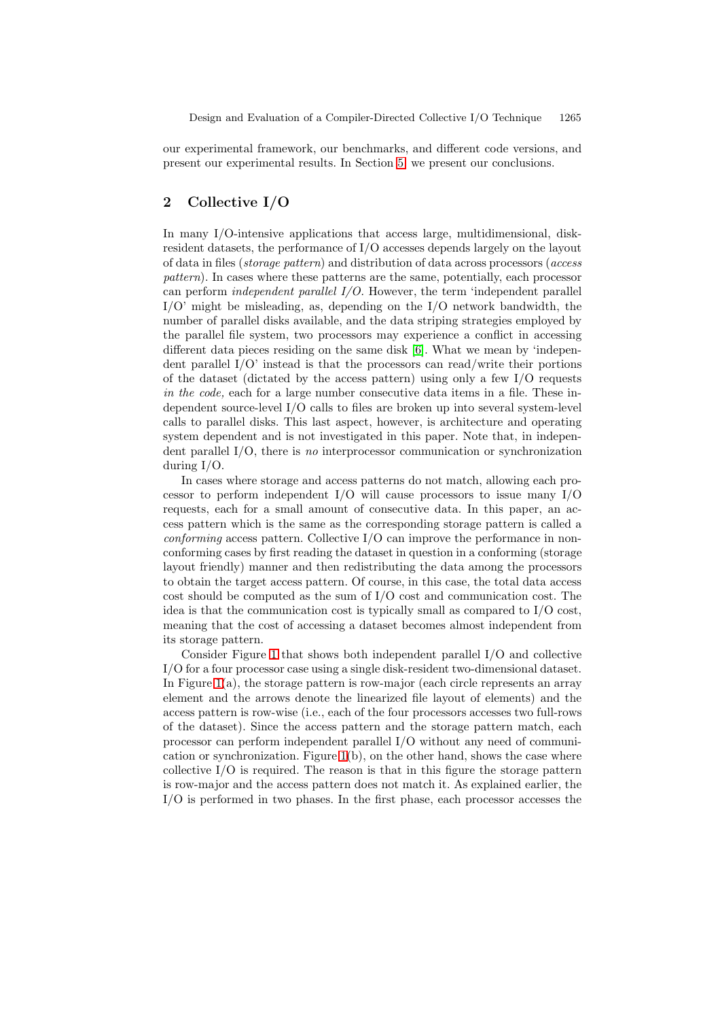our experimental framework, our benchmarks, and different code versions, and present our experimental results. In Section [5,](#page-8-0) we present our conclusions.

### **2 Collective I/O**

In many I/O-intensive applications that access large, multidimensional, diskresident datasets, the performance of I/O accesses depends largely on the layout of data in files (*storage pattern*) and distribution of data across processors (*access pattern*). In cases where these patterns are the same, potentially, each processor can perform *independent parallel I/O.* However, the term 'independent parallel I/O' might be misleading, as, depending on the I/O network bandwidth, the number of parallel disks available, and the data striping strategies employed by the parallel file system, two processors may experience a conflict in accessing different data pieces residing on the same disk [\[6\]](#page-9-1). What we mean by 'independent parallel I/O' instead is that the processors can read/write their portions of the dataset (dictated by the access pattern) using only a few I/O requests *in the code,* each for a large number consecutive data items in a file. These independent source-level I/O calls to files are broken up into several system-level calls to parallel disks. This last aspect, however, is architecture and operating system dependent and is not investigated in this paper. Note that, in independent parallel I/O, there is *no* interprocessor communication or synchronization during I/O.

In cases where storage and access patterns do not match, allowing each processor to perform independent I/O will cause processors to issue many I/O requests, each for a small amount of consecutive data. In this paper, an access pattern which is the same as the corresponding storage pattern is called a *conforming* access pattern. Collective I/O can improve the performance in nonconforming cases by first reading the dataset in question in a conforming (storage layout friendly) manner and then redistributing the data among the processors to obtain the target access pattern. Of course, in this case, the total data access cost should be computed as the sum of  $I/O$  cost and communication cost. The idea is that the communication cost is typically small as compared to I/O cost, meaning that the cost of accessing a dataset becomes almost independent from its storage pattern.

Consider Figure [1](#page-3-1) that shows both independent parallel I/O and collective I/O for a four processor case using a single disk-resident two-dimensional dataset. In Figure [1\(](#page-3-1)a), the storage pattern is row-major (each circle represents an array element and the arrows denote the linearized file layout of elements) and the access pattern is row-wise (i.e., each of the four processors accesses two full-rows of the dataset). Since the access pattern and the storage pattern match, each processor can perform independent parallel I/O without any need of communication or synchronization. Figure [1\(](#page-3-1)b), on the other hand, shows the case where collective I/O is required. The reason is that in this figure the storage pattern is row-major and the access pattern does not match it. As explained earlier, the I/O is performed in two phases. In the first phase, each processor accesses the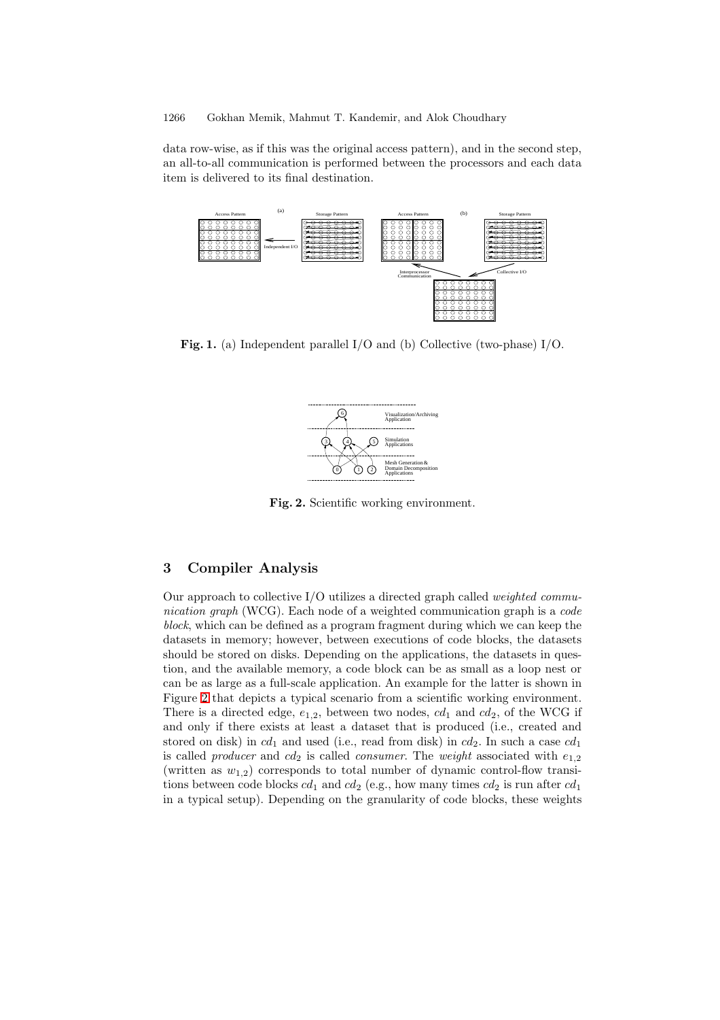data row-wise, as if this was the original access pattern), and in the second step, an all-to-all communication is performed between the processors and each data item is delivered to its final destination.



<span id="page-3-1"></span>**Fig. 1.** (a) Independent parallel I/O and (b) Collective (two-phase) I/O.



<span id="page-3-2"></span>**Fig. 2.** Scientific working environment.

### <span id="page-3-0"></span>**3 Compiler Analysis**

Our approach to collective I/O utilizes a directed graph called *weighted communication graph* (WCG). Each node of a weighted communication graph is a *code block*, which can be defined as a program fragment during which we can keep the datasets in memory; however, between executions of code blocks, the datasets should be stored on disks. Depending on the applications, the datasets in question, and the available memory, a code block can be as small as a loop nest or can be as large as a full-scale application. An example for the latter is shown in Figure [2](#page-3-2) that depicts a typical scenario from a scientific working environment. There is a directed edge,  $e_{1,2}$ , between two nodes,  $cd_1$  and  $cd_2$ , of the WCG if and only if there exists at least a dataset that is produced (i.e., created and stored on disk) in  $cd_1$  and used (i.e., read from disk) in  $cd_2$ . In such a case  $cd_1$ is called *producer* and  $cd_2$  is called *consumer*. The *weight* associated with  $e_{1,2}$ (written as  $w_{1,2}$ ) corresponds to total number of dynamic control-flow transitions between code blocks  $cd_1$  and  $cd_2$  (e.g., how many times  $cd_2$  is run after  $cd_1$ in a typical setup). Depending on the granularity of code blocks, these weights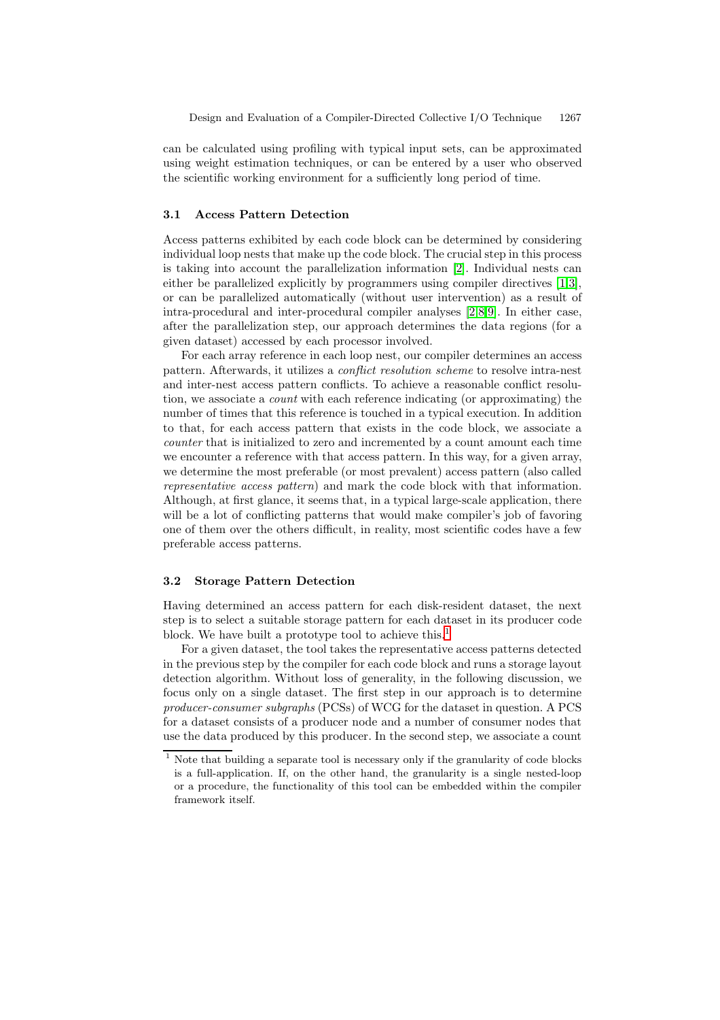can be calculated using profiling with typical input sets, can be approximated using weight estimation techniques, or can be entered by a user who observed the scientific working environment for a sufficiently long period of time.

#### **Access Pattern Detection**  $3.1$

Access patterns exhibited by each code block can be determined by considering individual loop nests that make up the code block. The crucial step in this process is taking into account the parallelization information [\[2\]](#page-9-8). Individual nests can either be parallelized explicitly by programmers using compiler directives [\[1](#page-8-1)[,3\]](#page-9-9), or can be parallelized automatically (without user intervention) as a result of intra-procedural and inter-procedural compiler analyses [\[2](#page-9-8)[,8](#page-9-10)[,9\]](#page-9-11). In either case, after the parallelization step, our approach determines the data regions (for a given dataset) accessed by each processor involved.

For each array reference in each loop nest, our compiler determines an access pattern. Afterwards, it utilizes a *conflict resolution scheme* to resolve intra-nest and inter-nest access pattern conflicts. To achieve a reasonable conflict resolution, we associate a *count* with each reference indicating (or approximating) the number of times that this reference is touched in a typical execution. In addition to that, for each access pattern that exists in the code block, we associate a *counter* that is initialized to zero and incremented by a count amount each time we encounter a reference with that access pattern. In this way, for a given array, we determine the most preferable (or most prevalent) access pattern (also called *representative access pattern*) and mark the code block with that information. Although, at first glance, it seems that, in a typical large-scale application, there will be a lot of conflicting patterns that would make compiler's job of favoring one of them over the others difficult, in reality, most scientific codes have a few preferable access patterns.

#### $3.2$ **3.2 Storage Pattern Detection**

Having determined an access pattern for each disk-resident dataset, the next step is to select a suitable storage pattern for each dataset in its producer code block. We have built a prototype tool to achieve this.<sup>[1](#page-4-0)</sup>

For a given dataset, the tool takes the representative access patterns detected in the previous step by the compiler for each code block and runs a storage layout detection algorithm. Without loss of generality, in the following discussion, we focus only on a single dataset. The first step in our approach is to determine *producer-consumer subgraphs* (PCSs) of WCG for the dataset in question. A PCS for a dataset consists of a producer node and a number of consumer nodes that use the data produced by this producer. In the second step, we associate a count

<span id="page-4-0"></span> $^{\rm 1}$  Note that building a separate tool is necessary only if the granularity of code blocks is a full-application. If, on the other hand, the granularity is a single nested-loop or a procedure, the functionality of this tool can be embedded within the compiler framework itself.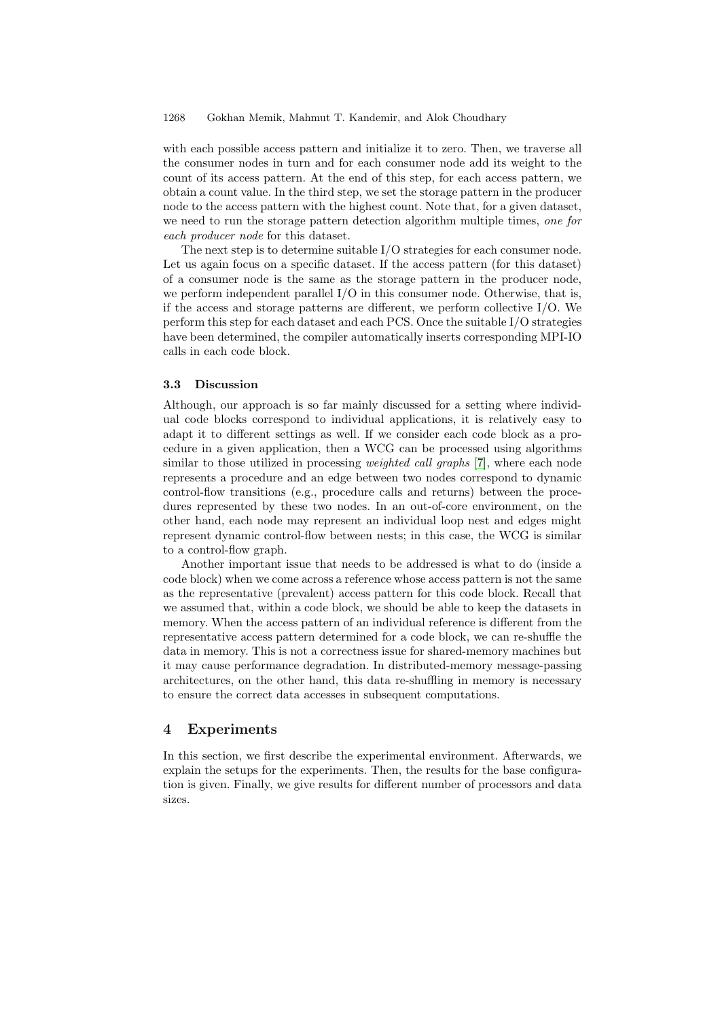with each possible access pattern and initialize it to zero. Then, we traverse all the consumer nodes in turn and for each consumer node add its weight to the count of its access pattern. At the end of this step, for each access pattern, we obtain a count value. In the third step, we set the storage pattern in the producer node to the access pattern with the highest count. Note that, for a given dataset, we need to run the storage pattern detection algorithm multiple times, *one for each producer node* for this dataset.

The next step is to determine suitable I/O strategies for each consumer node. Let us again focus on a specific dataset. If the access pattern (for this dataset) of a consumer node is the same as the storage pattern in the producer node, we perform independent parallel I/O in this consumer node. Otherwise, that is, if the access and storage patterns are different, we perform collective I/O. We perform this step for each dataset and each PCS. Once the suitable I/O strategies have been determined, the compiler automatically inserts corresponding MPI-IO calls in each code block.

#### $3.3$ **Discussion**

Although, our approach is so far mainly discussed for a setting where individual code blocks correspond to individual applications, it is relatively easy to adapt it to different settings as well. If we consider each code block as a procedure in a given application, then a WCG can be processed using algorithms similar to those utilized in processing *weighted call graphs* [\[7\]](#page-9-12), where each node represents a procedure and an edge between two nodes correspond to dynamic control-flow transitions (e.g., procedure calls and returns) between the procedures represented by these two nodes. In an out-of-core environment, on the other hand, each node may represent an individual loop nest and edges might represent dynamic control-flow between nests; in this case, the WCG is similar to a control-flow graph.

Another important issue that needs to be addressed is what to do (inside a code block) when we come across a reference whose access pattern is not the same as the representative (prevalent) access pattern for this code block. Recall that we assumed that, within a code block, we should be able to keep the datasets in memory. When the access pattern of an individual reference is different from the representative access pattern determined for a code block, we can re-shuffle the data in memory. This is not a correctness issue for shared-memory machines but it may cause performance degradation. In distributed-memory message-passing architectures, on the other hand, this data re-shuffling in memory is necessary to ensure the correct data accesses in subsequent computations.

### <span id="page-5-0"></span>**4 Experiments**

In this section, we first describe the experimental environment. Afterwards, we explain the setups for the experiments. Then, the results for the base configuration is given. Finally, we give results for different number of processors and data sizes.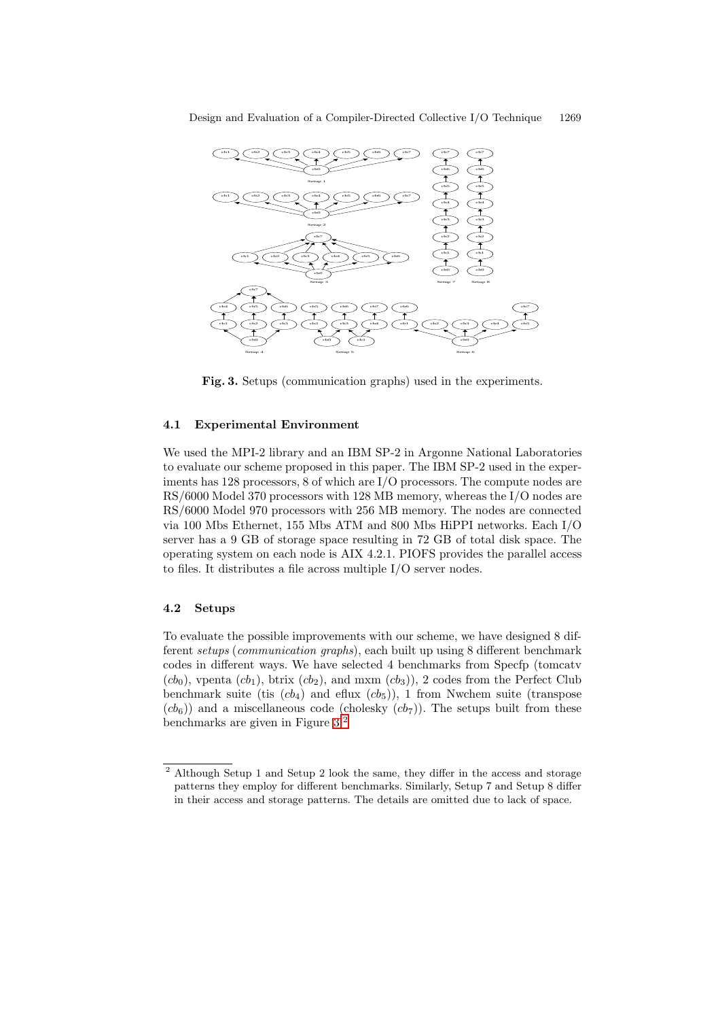

**Fig. 3.** Setups (communication graphs) used in the experiments.

#### <span id="page-6-0"></span>**4.1 Experimental Environment**

We used the MPI-2 library and an IBM SP-2 in Argonne National Laboratories to evaluate our scheme proposed in this paper. The IBM SP-2 used in the experiments has 128 processors, 8 of which are I/O processors. The compute nodes are RS/6000 Model 370 processors with 128 MB memory, whereas the I/O nodes are RS/6000 Model 970 processors with 256 MB memory. The nodes are connected via 100 Mbs Ethernet, 155 Mbs ATM and 800 Mbs HiPPI networks. Each  $I/O$ server has a 9 GB of storage space resulting in 72 GB of total disk space. The operating system on each node is AIX 4.2.1. PIOFS provides the parallel access to files. It distributes a file across multiple I/O server nodes.

#### <span id="page-6-2"></span>**4.2 Setups**

To evaluate the possible improvements with our scheme, we have designed 8 different *setups* (*communication graphs*), each built up using 8 different benchmark codes in different ways. We have selected 4 benchmarks from Specfp (tomcatv  $(cb<sub>0</sub>)$ , vpenta  $(cb<sub>1</sub>)$ , btrix  $(cb<sub>2</sub>)$ , and mxm  $(cb<sub>3</sub>)$ , 2 codes from the Perfect Club benchmark suite (tis  $(cb_4)$  and eflux  $(cb_5)$ ), 1 from Nwchem suite (transpose  $(cb<sub>6</sub>)$ ) and a miscellaneous code (cholesky  $(cb<sub>7</sub>)$ ). The setups built from these benchmarks are given in Figure [3.](#page-6-0)<sup>[2](#page-6-1)</sup>

<span id="page-6-1"></span><sup>2</sup> Although Setup 1 and Setup 2look the same, they differ in the access and storage patterns they employ for different benchmarks. Similarly, Setup 7 and Setup 8 differ in their access and storage patterns. The details are omitted due to lack of space.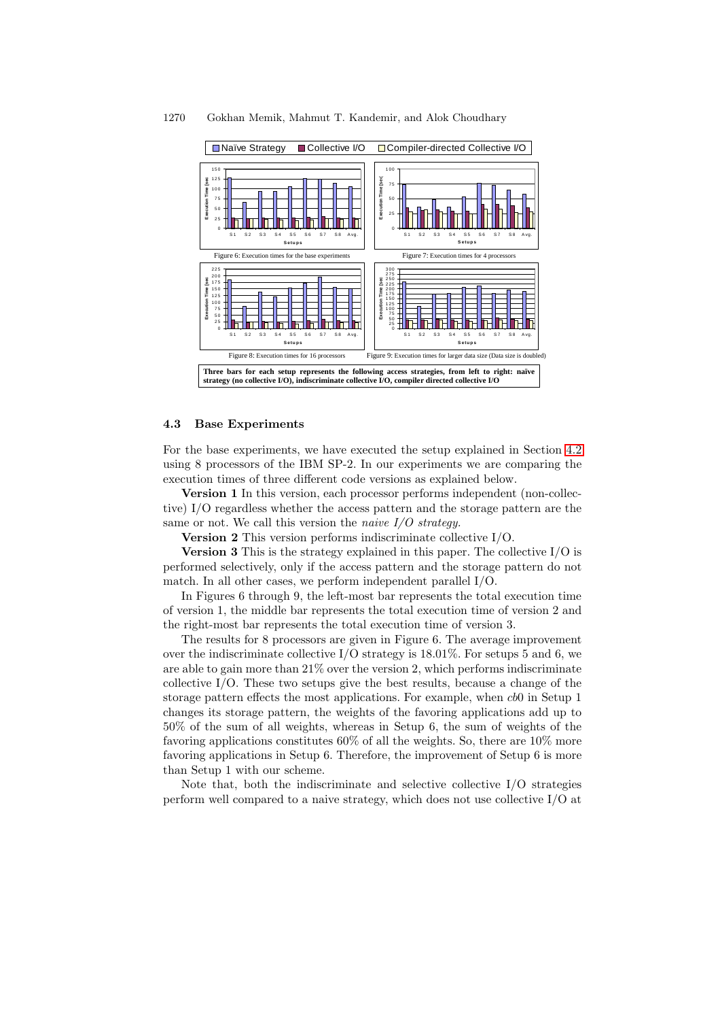

#### 4.3 **4.3 Base Experiments**

For the base experiments, we have executed the setup explained in Section [4.2](#page-6-2) using 8 processors of the IBM SP-2. In our experiments we are comparing the execution times of three different code versions as explained below.

**Version 1** In this version, each processor performs independent (non-collective) I/O regardless whether the access pattern and the storage pattern are the same or not. We call this version the *naive I/O strategy.*

**Version 2** This version performs indiscriminate collective I/O.

**Version 3** This is the strategy explained in this paper. The collective  $I/O$  is performed selectively, only if the access pattern and the storage pattern do not match. In all other cases, we perform independent parallel I/O.

In Figures 6 through 9, the left-most bar represents the total execution time of version 1, the middle bar represents the total execution time of version 2 and the right-most bar represents the total execution time of version 3.

The results for 8 processors are given in Figure 6. The average improvement over the indiscriminate collective I/O strategy is 18*.*01%. For setups 5 and 6, we are able to gain more than 21% over the version 2, which performs indiscriminate collective I/O. These two setups give the best results, because a change of the storage pattern effects the most applications. For example, when *cb*0 in Setup 1 changes its storage pattern, the weights of the favoring applications add up to 50% of the sum of all weights, whereas in Setup 6, the sum of weights of the favoring applications constitutes 60% of all the weights. So, there are 10% more favoring applications in Setup 6. Therefore, the improvement of Setup 6 is more than Setup 1 with our scheme.

Note that, both the indiscriminate and selective collective  $I/O$  strategies perform well compared to a naive strategy, which does not use collective I/O at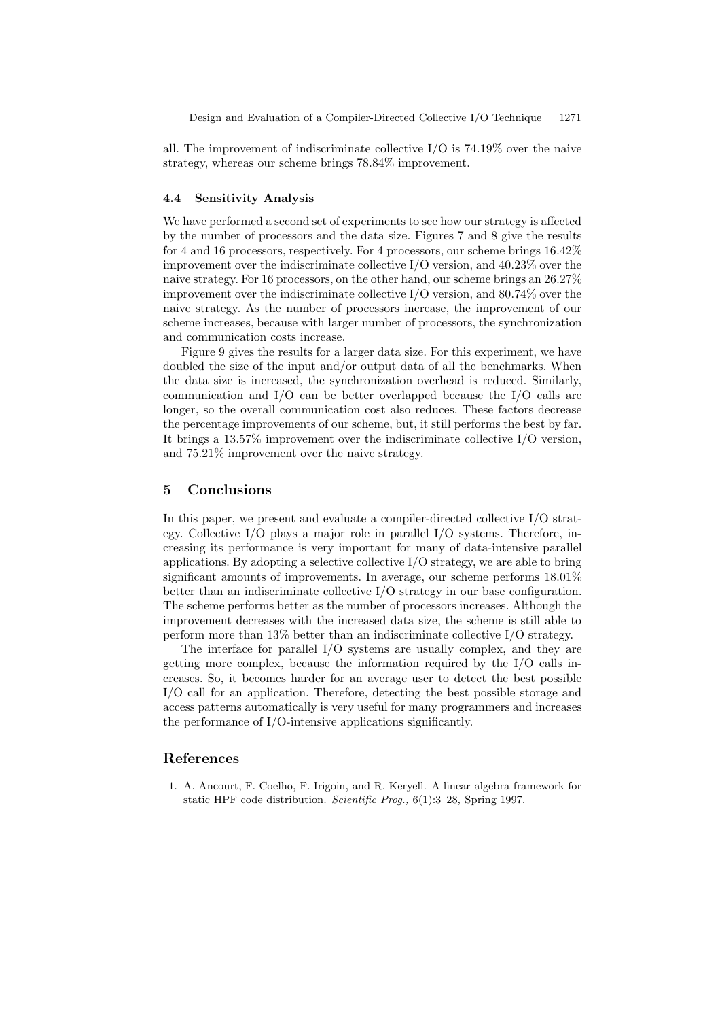all. The improvement of indiscriminate collective I/O is 74*.*19% over the naive strategy, whereas our scheme brings 78*.*84% improvement.

#### $4.4$ **4.4 Sensitivity Analysis**

We have performed a second set of experiments to see how our strategy is affected by the number of processors and the data size. Figures 7 and 8 give the results for 4 and 16 processors, respectively. For 4 processors, our scheme brings 16*.*42% improvement over the indiscriminate collective I/O version, and 40*.*23% over the naive strategy. For 16 processors, on the other hand, our scheme brings an 26*.*27% improvement over the indiscriminate collective I/O version, and 80*.*74% over the naive strategy. As the number of processors increase, the improvement of our scheme increases, because with larger number of processors, the synchronization and communication costs increase.

Figure 9 gives the results for a larger data size. For this experiment, we have doubled the size of the input and/or output data of all the benchmarks. When the data size is increased, the synchronization overhead is reduced. Similarly, communication and I/O can be better overlapped because the I/O calls are longer, so the overall communication cost also reduces. These factors decrease the percentage improvements of our scheme, but, it still performs the best by far. It brings a  $13.57\%$  improvement over the indiscriminate collective I/O version, and 75*.*21% improvement over the naive strategy.

#### <span id="page-8-0"></span>**5 Conclusions**

In this paper, we present and evaluate a compiler-directed collective I/O strategy. Collective I/O plays a major role in parallel I/O systems. Therefore, increasing its performance is very important for many of data-intensive parallel applications. By adopting a selective collective I/O strategy, we are able to bring significant amounts of improvements. In average, our scheme performs 18*.*01% better than an indiscriminate collective I/O strategy in our base configuration. The scheme performs better as the number of processors increases. Although the improvement decreases with the increased data size, the scheme is still able to perform more than 13% better than an indiscriminate collective I/O strategy.

The interface for parallel I/O systems are usually complex, and they are getting more complex, because the information required by the I/O calls increases. So, it becomes harder for an average user to detect the best possible I/O call for an application. Therefore, detecting the best possible storage and access patterns automatically is very useful for many programmers and increases the performance of I/O-intensive applications significantly.

## <span id="page-8-1"></span>**References**

1. A. Ancourt, F. Coelho, F. Irigoin, and R. Keryell. A linear algebra framework for static HPF code distribution. *Scientific Prog.,* 6(1):3–28, Spring 1997.